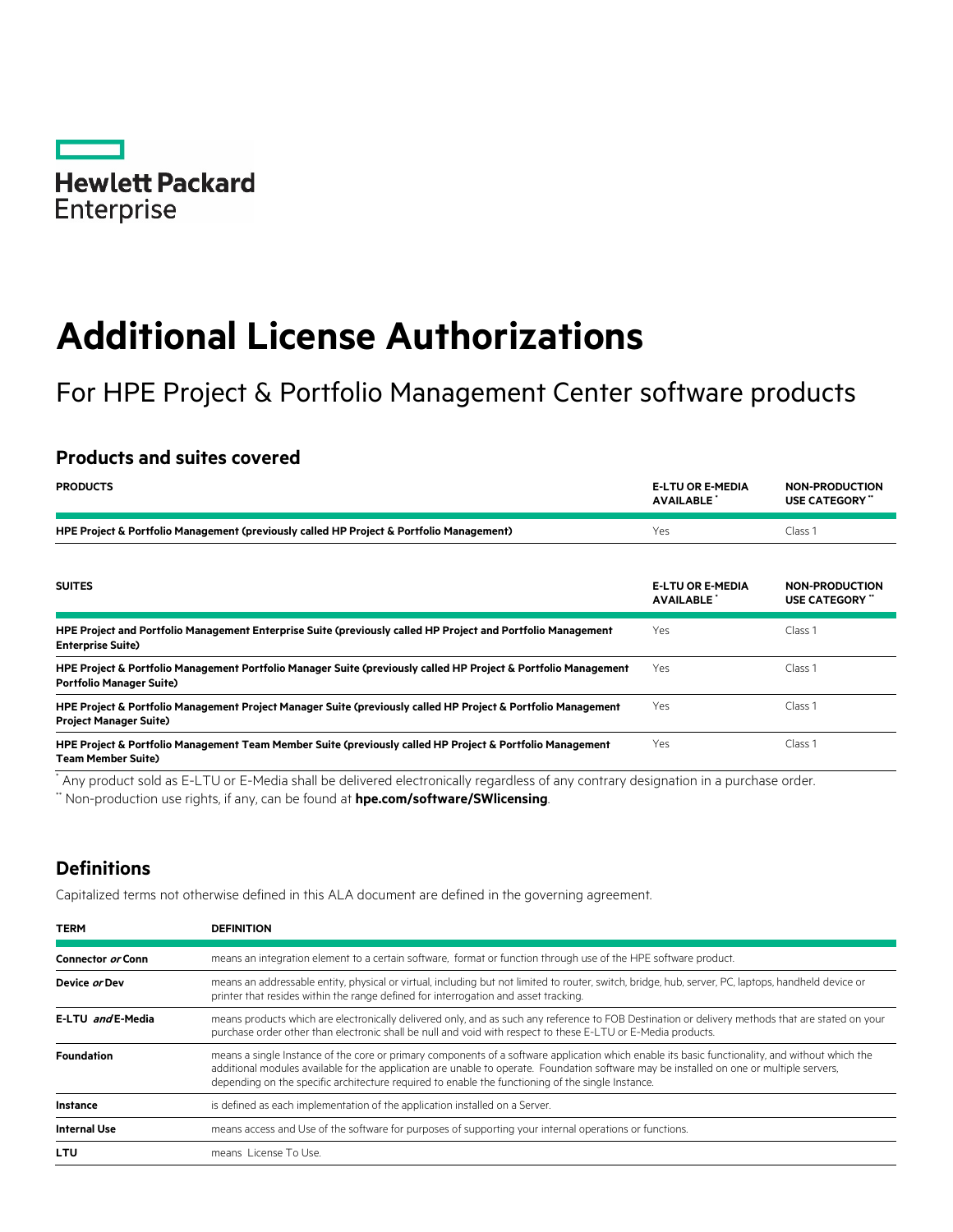

# **Additional License Authorizations**

# For HPE Project & Portfolio Management Center software products

## **Products and suites covered**

| <b>PRODUCTS</b>                                                                                                                                    | <b>E-LTU OR E-MEDIA</b><br><b>AVAILABLE</b> | <b>NON-PRODUCTION</b><br>USE CATEGORY"       |
|----------------------------------------------------------------------------------------------------------------------------------------------------|---------------------------------------------|----------------------------------------------|
| HPE Project & Portfolio Management (previously called HP Project & Portfolio Management)                                                           | Yes                                         | Class 1                                      |
| <b>SUITES</b>                                                                                                                                      | <b>E-LTU OR E-MEDIA</b><br><b>AVAILABLE</b> | <b>NON-PRODUCTION</b><br><b>USE CATEGORY</b> |
| HPE Project and Portfolio Management Enterprise Suite (previously called HP Project and Portfolio Management<br><b>Enterprise Suite)</b>           | Yes                                         | Class 1                                      |
| HPE Project & Portfolio Management Portfolio Manager Suite (previously called HP Project & Portfolio Management<br><b>Portfolio Manager Suite)</b> | Yes                                         | Class 1                                      |
| HPE Project & Portfolio Management Project Manager Suite (previously called HP Project & Portfolio Management<br><b>Project Manager Suite)</b>     | <b>Yes</b>                                  | Class 1                                      |
| HPE Project & Portfolio Management Team Member Suite (previously called HP Project & Portfolio Management<br><b>Team Member Suite)</b>             | Yes                                         | Class 1                                      |

\* Any product sold as E-LTU or E-Media shall be delivered electronically regardless of any contrary designation in a purchase order.

\*\* Non-production use rights, if any, can be found at **[hpe.com/software/SWlicensing](http://www.hpe.com/software/SWlicensing)**.

## **Definitions**

Capitalized terms not otherwise defined in this ALA document are defined in the governing agreement.

| <b>TERM</b>         | <b>DEFINITION</b>                                                                                                                                                                                                                                                                                                                                                                                |
|---------------------|--------------------------------------------------------------------------------------------------------------------------------------------------------------------------------------------------------------------------------------------------------------------------------------------------------------------------------------------------------------------------------------------------|
| Connector or Conn   | means an integration element to a certain software, format or function through use of the HPE software product.                                                                                                                                                                                                                                                                                  |
| Device or Dev       | means an addressable entity, physical or virtual, including but not limited to router, switch, bridge, hub, server, PC, laptops, handheld device or<br>printer that resides within the range defined for interrogation and asset tracking.                                                                                                                                                       |
| E-LTU and E-Media   | means products which are electronically delivered only, and as such any reference to FOB Destination or delivery methods that are stated on your<br>purchase order other than electronic shall be null and void with respect to these E-LTU or E-Media products.                                                                                                                                 |
| <b>Foundation</b>   | means a single Instance of the core or primary components of a software application which enable its basic functionality, and without which the<br>additional modules available for the application are unable to operate. Foundation software may be installed on one or multiple servers,<br>depending on the specific architecture required to enable the functioning of the single Instance. |
| <b>Instance</b>     | is defined as each implementation of the application installed on a Server.                                                                                                                                                                                                                                                                                                                      |
| <b>Internal Use</b> | means access and Use of the software for purposes of supporting your internal operations or functions.                                                                                                                                                                                                                                                                                           |
| <b>LTU</b>          | means License To Use.                                                                                                                                                                                                                                                                                                                                                                            |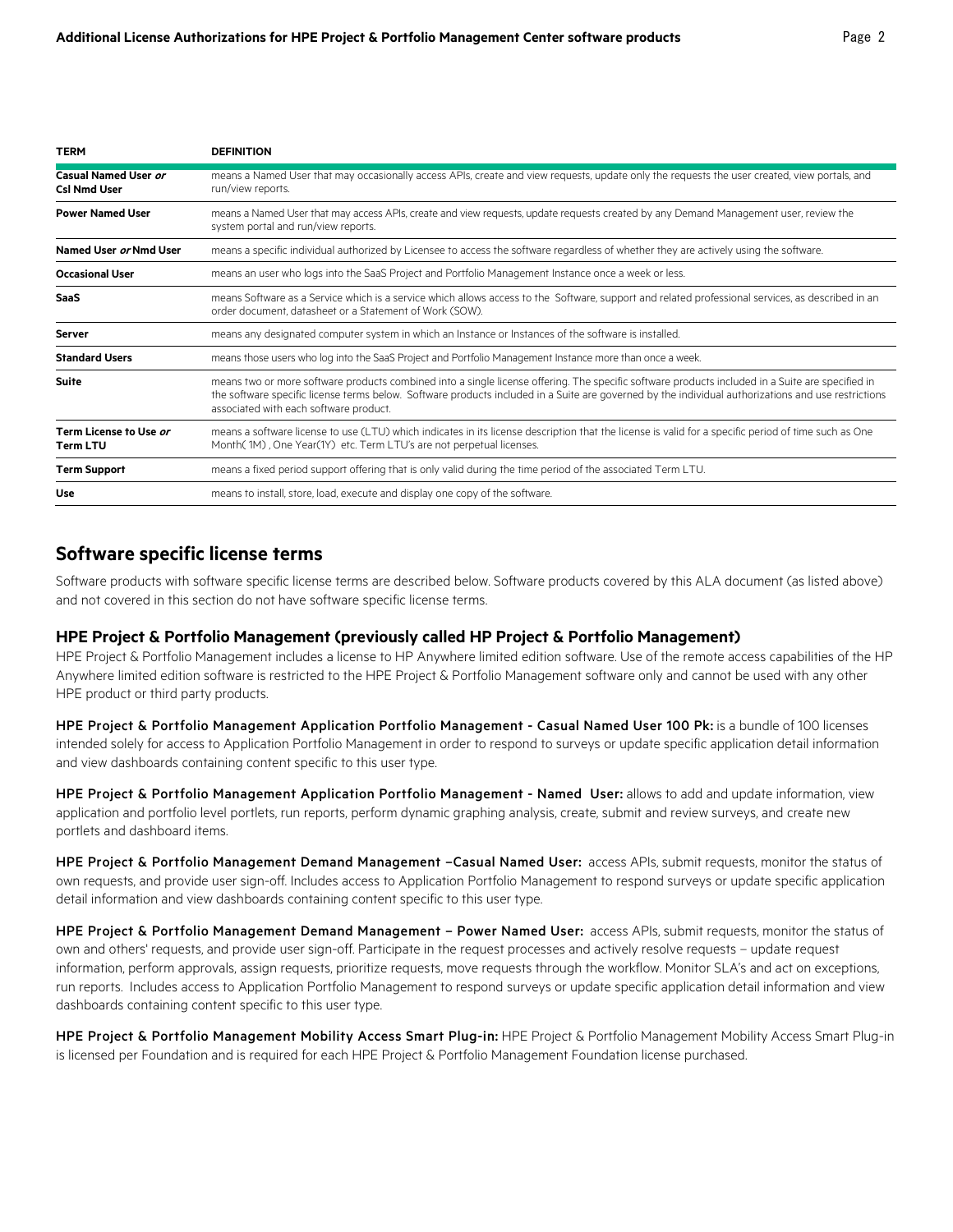| <b>TERM</b>                                 | <b>DEFINITION</b>                                                                                                                                                                                                                                                                                                                                 |
|---------------------------------------------|---------------------------------------------------------------------------------------------------------------------------------------------------------------------------------------------------------------------------------------------------------------------------------------------------------------------------------------------------|
| Casual Named User or<br><b>Csl Nmd User</b> | means a Named User that may occasionally access APIs, create and view requests, update only the requests the user created, view portals, and<br>run/view reports.                                                                                                                                                                                 |
| <b>Power Named User</b>                     | means a Named User that may access APIs, create and view requests, update requests created by any Demand Management user, review the<br>system portal and run/view reports.                                                                                                                                                                       |
| Named User or Nmd User                      | means a specific individual authorized by Licensee to access the software regardless of whether they are actively using the software.                                                                                                                                                                                                             |
| <b>Occasional User</b>                      | means an user who logs into the SaaS Project and Portfolio Management Instance once a week or less.                                                                                                                                                                                                                                               |
| SaaS                                        | means Software as a Service which is a service which allows access to the Software, support and related professional services, as described in an<br>order document, datasheet or a Statement of Work (SOW).                                                                                                                                      |
| Server                                      | means any designated computer system in which an Instance or Instances of the software is installed.                                                                                                                                                                                                                                              |
| <b>Standard Users</b>                       | means those users who log into the SaaS Project and Portfolio Management Instance more than once a week.                                                                                                                                                                                                                                          |
| <b>Suite</b>                                | means two or more software products combined into a single license offering. The specific software products included in a Suite are specified in<br>the software specific license terms below. Software products included in a Suite are governed by the individual authorizations and use restrictions<br>associated with each software product. |
| Term License to Use or<br><b>Term LTU</b>   | means a software license to use (LTU) which indicates in its license description that the license is valid for a specific period of time such as One<br>Month(1M), One Year(1Y) etc. Term LTU's are not perpetual licenses.                                                                                                                       |
| <b>Term Support</b>                         | means a fixed period support offering that is only valid during the time period of the associated Term LTU.                                                                                                                                                                                                                                       |
| Use                                         | means to install, store, load, execute and display one copy of the software.                                                                                                                                                                                                                                                                      |

#### **Software specific license terms**

Software products with software specific license terms are described below. Software products covered by this ALA document (as listed above) and not covered in this section do not have software specific license terms.

#### **HPE Project & Portfolio Management (previously called HP Project & Portfolio Management)**

HPE Project & Portfolio Management includes a license to HP Anywhere limited edition software. Use of the remote access capabilities of the HP Anywhere limited edition software is restricted to the HPE Project & Portfolio Management software only and cannot be used with any other HPE product or third party products.

HPE Project & Portfolio Management Application Portfolio Management - Casual Named User 100 Pk: is a bundle of 100 licenses intended solely for access to Application Portfolio Management in order to respond to surveys or update specific application detail information and view dashboards containing content specific to this user type.

HPE Project & Portfolio Management Application Portfolio Management - Named User: allows to add and update information, view application and portfolio level portlets, run reports, perform dynamic graphing analysis, create, submit and review surveys, and create new portlets and dashboard items.

HPE Project & Portfolio Management Demand Management -Casual Named User: access APIs, submit requests, monitor the status of own requests, and provide user sign-off. Includes access to Application Portfolio Management to respond surveys or update specific application detail information and view dashboards containing content specific to this user type.

HPE Project & Portfolio Management Demand Management - Power Named User: access APIs, submit requests, monitor the status of own and others' requests, and provide user sign-off. Participate in the request processes and actively resolve requests – update request information, perform approvals, assign requests, prioritize requests, move requests through the workflow. Monitor SLA's and act on exceptions, run reports. Includes access to Application Portfolio Management to respond surveys or update specific application detail information and view dashboards containing content specific to this user type.

HPE Project & Portfolio Management Mobility Access Smart Plug-in: HPE Project & Portfolio Management Mobility Access Smart Plug-in is licensed per Foundation and is required for each HPE Project & Portfolio Management Foundation license purchased.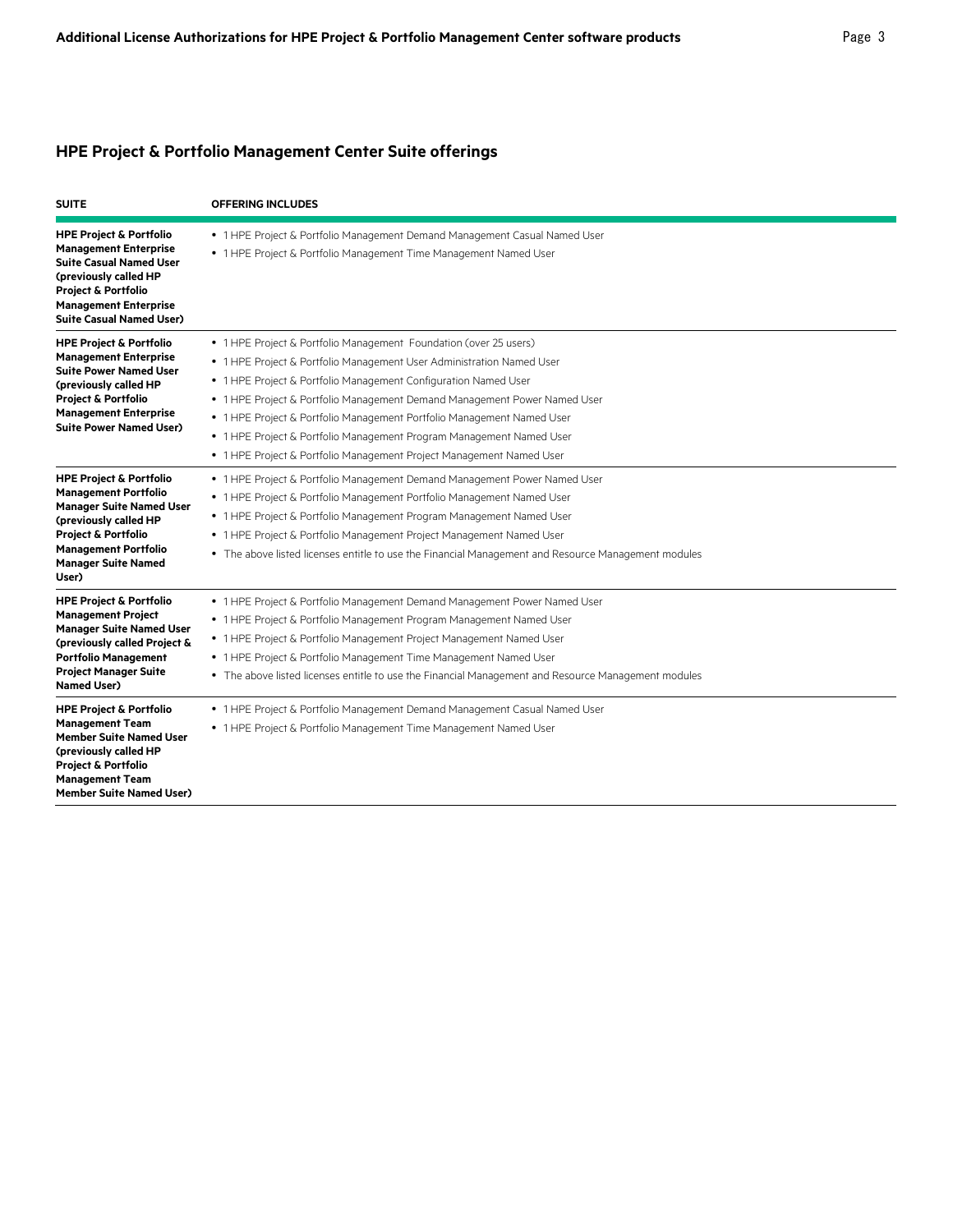## **HPE Project & Portfolio Management Center Suite offerings**

| <b>SUITE</b>                                                                                                                                                                                                                          | <b>OFFERING INCLUDES</b>                                                                                                                                                                                                                                                                                                                                                                                                                                                                                             |
|---------------------------------------------------------------------------------------------------------------------------------------------------------------------------------------------------------------------------------------|----------------------------------------------------------------------------------------------------------------------------------------------------------------------------------------------------------------------------------------------------------------------------------------------------------------------------------------------------------------------------------------------------------------------------------------------------------------------------------------------------------------------|
| <b>HPE Project &amp; Portfolio</b><br><b>Management Enterprise</b><br><b>Suite Casual Named User</b><br>(previously called HP<br><b>Project &amp; Portfolio</b><br><b>Management Enterprise</b><br><b>Suite Casual Named User)</b>    | • 1 HPE Project & Portfolio Management Demand Management Casual Named User<br>• 1 HPE Project & Portfolio Management Time Management Named User                                                                                                                                                                                                                                                                                                                                                                      |
| <b>HPE Project &amp; Portfolio</b><br><b>Management Enterprise</b><br><b>Suite Power Named User</b><br>(previously called HP<br><b>Project &amp; Portfolio</b><br><b>Management Enterprise</b><br><b>Suite Power Named User)</b>      | • 1 HPE Project & Portfolio Management Foundation (over 25 users)<br>• 1 HPE Project & Portfolio Management User Administration Named User<br>• 1 HPE Project & Portfolio Management Configuration Named User<br>• 1 HPE Project & Portfolio Management Demand Management Power Named User<br>• 1 HPE Project & Portfolio Management Portfolio Management Named User<br>• 1 HPE Project & Portfolio Management Program Management Named User<br>• 1 HPE Project & Portfolio Management Project Management Named User |
| <b>HPE Project &amp; Portfolio</b><br><b>Management Portfolio</b><br><b>Manager Suite Named User</b><br>(previously called HP<br><b>Project &amp; Portfolio</b><br><b>Management Portfolio</b><br><b>Manager Suite Named</b><br>User) | • 1 HPE Project & Portfolio Management Demand Management Power Named User<br>• 1 HPE Project & Portfolio Management Portfolio Management Named User<br>• 1 HPE Project & Portfolio Management Program Management Named User<br>• 1 HPE Project & Portfolio Management Project Management Named User<br>• The above listed licenses entitle to use the Financial Management and Resource Management modules                                                                                                           |
| <b>HPE Project &amp; Portfolio</b><br><b>Management Project</b><br><b>Manager Suite Named User</b><br>(previously called Project &<br><b>Portfolio Management</b><br><b>Project Manager Suite</b><br><b>Named User)</b>               | • 1 HPE Project & Portfolio Management Demand Management Power Named User<br>• 1 HPE Project & Portfolio Management Program Management Named User<br>• 1 HPE Project & Portfolio Management Project Management Named User<br>• 1 HPE Project & Portfolio Management Time Management Named User<br>• The above listed licenses entitle to use the Financial Management and Resource Management modules                                                                                                                |
| <b>HPE Project &amp; Portfolio</b><br><b>Management Team</b><br><b>Member Suite Named User</b><br>(previously called HP<br><b>Project &amp; Portfolio</b><br><b>Management Team</b><br><b>Member Suite Named User)</b>                | • 1 HPE Project & Portfolio Management Demand Management Casual Named User<br>• 1 HPE Project & Portfolio Management Time Management Named User                                                                                                                                                                                                                                                                                                                                                                      |